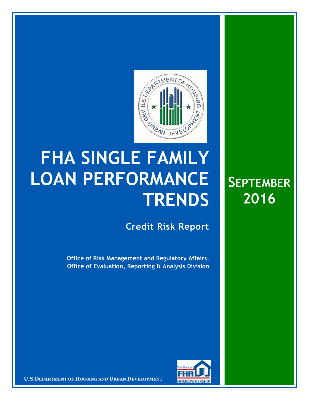

## **FHA SINGLE FAMILY LOAN PERFORMANCE TRENDS**

**Credit Risk Report**

**SEPTEMBER**

**2016** 

**Office of Risk Management and Regulatory Affairs, Office of Evaluation, Reporting & Analysis Division** 



**U.S.DEPARTMENT OF HOUSING AND URBAN DEVELOPMENT**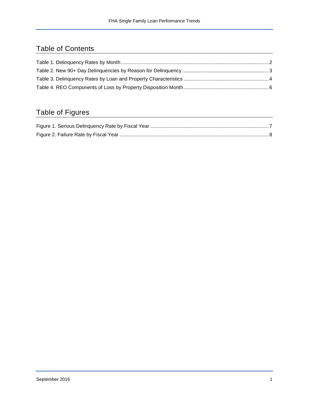## Table of Contents

## Table of Figures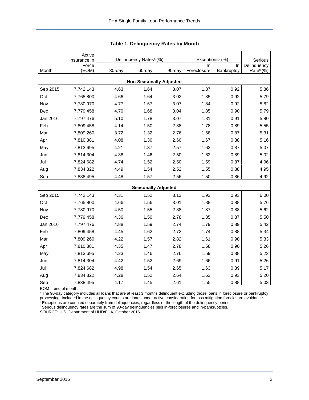|                                | Active<br>Insurance in |        | Delinquency Rates <sup>a</sup> (%) |                            | Exceptions <sup>b</sup> (%) | Serious    |                       |  |  |  |  |
|--------------------------------|------------------------|--------|------------------------------------|----------------------------|-----------------------------|------------|-----------------------|--|--|--|--|
|                                | Force                  |        |                                    |                            | In                          | In         | Delinquency           |  |  |  |  |
| Month                          | (EOM)                  | 30-day | 60-day                             | 90-day                     | Foreclosure                 | Bankruptcy | Rate <sup>c</sup> (%) |  |  |  |  |
| <b>Non-Seasonally Adjusted</b> |                        |        |                                    |                            |                             |            |                       |  |  |  |  |
| Sep 2015                       | 7,742,143              | 4.63   | 1.64                               | 3.07                       | 1.87                        | 0.92       | 5.86                  |  |  |  |  |
| Oct                            | 7,765,800              | 4.66   | 1.64                               | 3.02                       | 1.85                        | 0.92       | 5.79                  |  |  |  |  |
| Nov                            | 7,780,970              | 4.77   | 1.67                               | 3.07                       | 1.84                        | 0.92       | 5.82                  |  |  |  |  |
| Dec                            | 7,779,458              | 4.70   | 1.68                               | 3.04                       | 1.85                        | 0.90       | 5.79                  |  |  |  |  |
| Jan 2016                       | 7,797,476              | 5.10   | 1.78                               | 3.07                       | 1.81                        | 0.91       | 5.80                  |  |  |  |  |
| Feb                            | 7,809,458              | 4.14   | 1.50                               | 2.88                       | 1.78                        | 0.89       | 5.55                  |  |  |  |  |
| Mar                            | 7,809,260              | 3.72   | 1.32                               | 2.76                       | 1.68                        | 0.87       | 5.31                  |  |  |  |  |
| Apr                            | 7,810,381              | 4.08   | 1.30                               | 2.60                       | 1.67                        | 0.88       | 5.16                  |  |  |  |  |
| May                            | 7,813,695              | 4.21   | 1.37                               | 2.57                       | 1.63                        | 0.87       | 5.07                  |  |  |  |  |
| Jun                            | 7,814,304              | 4.38   | 1.46                               | 2.50                       | 1.62                        | 0.89       | 5.02                  |  |  |  |  |
| Jul                            | 7,824,682              | 4.74   | 1.52                               | 2.50                       | 1.59                        | 0.87       | 4.96                  |  |  |  |  |
| Aug                            | 7,834,822              | 4.49   | 1.54                               | 2.52                       | 1.55                        | 0.88       | 4.95                  |  |  |  |  |
| Sep                            | 7,838,495              | 4.48   | 1.57                               | 2.56                       | 1.50                        | 0.86       | 4.92                  |  |  |  |  |
|                                |                        |        |                                    | <b>Seasonally Adjusted</b> |                             |            |                       |  |  |  |  |
| Sep 2015                       | 7,742,143              | 4.31   | 1.52                               | 3.13                       | 1.93                        | 0.93       | 6.00                  |  |  |  |  |
| Oct                            | 7,765,800              | 4.66   | 1.56                               | 3.01                       | 1.88                        | 0.88       | 5.76                  |  |  |  |  |
| Nov                            | 7,780,970              | 4.50   | 1.55                               | 2.88                       | 1.87                        | 0.88       | 5.62                  |  |  |  |  |
| Dec                            | 7,779,458              | 4.36   | 1.50                               | 2.78                       | 1.85                        | 0.87       | 5.50                  |  |  |  |  |
| Jan 2016                       | 7,797,476              | 4.88   | 1.59                               | 2.74                       | 1.79                        | 0.89       | 5.42                  |  |  |  |  |
| Feb                            | 7,809,458              | 4.45   | 1.62                               | 2.72                       | 1.74                        | 0.88       | 5.34                  |  |  |  |  |
| Mar                            | 7,809,260              | 4.22   | 1.57                               | 2.82                       | 1.61                        | 0.90       | 5.33                  |  |  |  |  |
| Apr                            | 7,810,381              | 4.35   | 1.47                               | 2.78                       | 1.58                        | 0.90       | 5.26                  |  |  |  |  |
| May                            | 7,813,695              | 4.23   | 1.46                               | 2.76                       | 1.59                        | 0.88       | 5.23                  |  |  |  |  |
| Jun                            | 7,814,304              | 4.42   | 1.52                               | 2.69                       | 1.66                        | 0.91       | 5.26                  |  |  |  |  |
| Jul                            | 7,824,682              | 4.98   | 1.54                               | 2.65                       | 1.63                        | 0.89       | 5.17                  |  |  |  |  |
| Aug                            | 7,834,822              | 4.28   | 1.52                               | 2.64                       | 1.63                        | 0.93       | 5.20                  |  |  |  |  |
| Sep                            | 7,838,495              | 4.17   | 1.45                               | 2.61                       | 1.55                        | 0.88       | 5.03                  |  |  |  |  |

<span id="page-2-0"></span>

EOM = end of month.

<sup>a</sup>The 90-day category includes all loans that are at least 3 months delinquent excluding those loans in foreclosure or bankruptcy processing. Included in the delinquency counts are loans under active consideration for loss mitigation foreclosure avoidance.

<sup>b</sup> Exceptions are counted separately from delinquencies, regardless of the length of the delinquency period.

<sup>c</sup> Serious delinquency rates are the sum of 90-day delinquencies plus in-foreclosures and in-bankruptcies.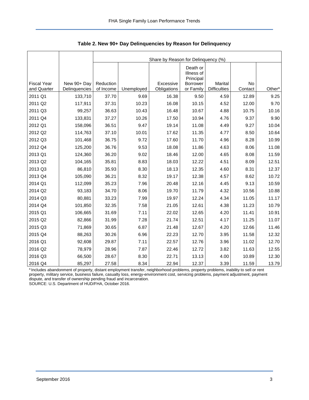<span id="page-3-0"></span>

|                    |               | Share by Reason for Delinquency (%) |            |             |                                     |                     |         |                    |  |  |  |
|--------------------|---------------|-------------------------------------|------------|-------------|-------------------------------------|---------------------|---------|--------------------|--|--|--|
|                    |               |                                     |            |             | Death or<br>Illness of<br>Principal |                     |         |                    |  |  |  |
| <b>Fiscal Year</b> | New 90+ Day   | Reduction                           |            | Excessive   | <b>Borrower</b>                     | Marital             | No      |                    |  |  |  |
| and Quarter        | Delinquencies | of Income                           | Unemployed | Obligations | or Family                           | <b>Difficulties</b> | Contact | Other <sup>a</sup> |  |  |  |
| 2011 Q1            | 133,710       | 37.70                               | 9.69       | 16.38       | 9.50                                | 4.59                | 12.89   | 9.25               |  |  |  |
| 2011 Q2            | 117,911       | 37.31                               | 10.23      | 16.08       | 10.15                               | 4.52                | 12.00   | 9.70               |  |  |  |
| 2011 Q3            | 99,257        | 36.63                               | 10.43      | 16.48       | 10.67                               | 4.88                | 10.75   | 10.16              |  |  |  |
| 2011 Q4            | 133,831       | 37.27                               | 10.26      | 17.50       | 10.94                               | 4.76                | 9.37    | 9.90               |  |  |  |
| 2012 Q1            | 158,096       | 36.51                               | 9.47       | 19.14       | 11.08                               | 4.49                | 9.27    | 10.04              |  |  |  |
| 2012 Q2            | 114,763       | 37.10                               | 10.01      | 17.62       | 11.35                               | 4.77                | 8.50    | 10.64              |  |  |  |
| 2012 Q3            | 101,468       | 36.75                               | 9.72       | 17.60       | 11.70                               | 4.96                | 8.28    | 10.99              |  |  |  |
| 2012 Q4            | 125,200       | 36.76                               | 9.53       | 18.08       | 11.86                               | 4.63                | 8.06    | 11.08              |  |  |  |
| 2013 Q1            | 124,360       | 36.20                               | 9.02       | 18.46       | 12.00                               | 4.65                | 8.08    | 11.59              |  |  |  |
| 2013 Q2            | 104,165       | 35.81                               | 8.83       | 18.03       | 12.22                               | 4.51                | 8.09    | 12.51              |  |  |  |
| 2013 Q3            | 86,810        | 35.93                               | 8.30       | 18.13       | 12.35                               | 4.60                | 8.31    | 12.37              |  |  |  |
| 2013 Q4            | 105,090       | 36.21                               | 8.32       | 19.17       | 12.38                               | 4.57                | 8.62    | 10.72              |  |  |  |
| 2014 Q1            | 112,099       | 35.23                               | 7.96       | 20.48       | 12.16                               | 4.45                | 9.13    | 10.59              |  |  |  |
| 2014 Q2            | 93,183        | 34.70                               | 8.06       | 19.70       | 11.79                               | 4.32                | 10.56   | 10.88              |  |  |  |
| 2014 Q3            | 80,881        | 33.23                               | 7.99       | 19.97       | 12.24                               | 4.34                | 11.05   | 11.17              |  |  |  |
| 2014 Q4            | 101,850       | 32.35                               | 7.58       | 21.05       | 12.61                               | 4.38                | 11.23   | 10.79              |  |  |  |
| 2015 Q1            | 106,665       | 31.69                               | 7.11       | 22.02       | 12.65                               | 4.20                | 11.41   | 10.91              |  |  |  |
| 2015 Q2            | 82,866        | 31.99                               | 7.28       | 21.74       | 12.51                               | 4.17                | 11.25   | 11.07              |  |  |  |
| 2015 Q3            | 71,869        | 30.65                               | 6.87       | 21.48       | 12.67                               | 4.20                | 12.66   | 11.46              |  |  |  |
| 2015 Q4            | 88,263        | 30.26                               | 6.96       | 22.23       | 12.70                               | 3.95                | 11.58   | 12.32              |  |  |  |
| 2016 Q1            | 92,608        | 29.87                               | 7.11       | 22.57       | 12.76                               | 3.96                | 11.02   | 12.70              |  |  |  |
| 2016 Q2            | 78,979        | 28.96                               | 7.87       | 22.46       | 12.72                               | 3.82                | 11.63   | 12.55              |  |  |  |
| 2016 Q3            | 66,500        | 28.67                               | 8.30       | 22.71       | 13.13                               | 4.00                | 10.89   | 12.30              |  |  |  |
| 2016 Q4            | 85,297        | 27.58                               | 8.34       | 22.94       | 12.37                               | 3.39                | 11.59   | 13.79              |  |  |  |

<span id="page-3-1"></span>**Table 2. New 90+ Day Delinquencies by Reason for Delinquency** 

a Includes abandonment of property, distant employment transfer, neighborhood problems, property problems, inability to sell or rent property, military service, business failure, casualty loss, energy-environment cost, servicing problems, payment adjustment, payment dispute, and transfer of ownership pending fraud and incarceration.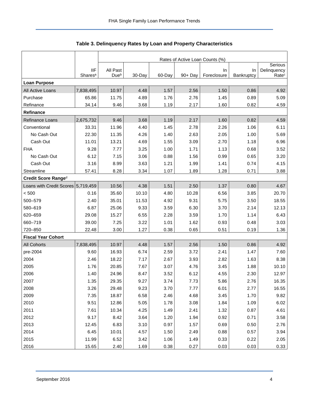<span id="page-4-0"></span>

|                                    |                                   | Rates of Active Loan Counts (%) |        |         |            |                   |                  |                                  |  |  |  |
|------------------------------------|-----------------------------------|---------------------------------|--------|---------|------------|-------------------|------------------|----------------------------------|--|--|--|
|                                    |                                   |                                 |        | Serious |            |                   |                  |                                  |  |  |  |
|                                    | <b>IIF</b><br>Shares <sup>a</sup> | All Past<br>Due <sup>b</sup>    | 30-Day | 60-Day  | $90 + Day$ | In<br>Foreclosure | In<br>Bankruptcy | Delinquency<br>Rate <sup>c</sup> |  |  |  |
| <b>Loan Purpose</b>                |                                   |                                 |        |         |            |                   |                  |                                  |  |  |  |
| All Active Loans                   | 7,838,495                         | 10.97                           | 4.48   | 1.57    | 2.56       | 1.50              | 0.86             | 4.92                             |  |  |  |
| Purchase                           | 65.86                             | 11.75                           | 4.89   | 1.76    | 2.76       | 1.45              | 0.89             | 5.09                             |  |  |  |
| Refinance                          | 34.14                             | 9.46                            | 3.68   | 1.19    | 2.17       | 1.60              | 0.82             | 4.59                             |  |  |  |
| Refinance                          |                                   |                                 |        |         |            |                   |                  |                                  |  |  |  |
| <b>Refinance Loans</b>             | 2,675,732                         | 9.46                            | 3.68   | 1.19    | 2.17       | 1.60              | 0.82             | 4.59                             |  |  |  |
| Conventional                       | 33.31                             | 11.96                           | 4.40   | 1.45    | 2.78       | 2.26              | 1.06             | 6.11                             |  |  |  |
| No Cash Out                        | 22.30                             | 11.35                           | 4.26   | 1.40    | 2.63       | 2.05              | 1.00             | 5.69                             |  |  |  |
| Cash Out                           | 11.01                             | 13.21                           | 4.69   | 1.55    | 3.09       | 2.70              | 1.18             | 6.96                             |  |  |  |
| <b>FHA</b>                         | 9.28                              | 7.77                            | 3.25   | 1.00    | 1.71       | 1.13              | 0.68             | 3.52                             |  |  |  |
| No Cash Out                        | 6.12                              | 7.15                            | 3.06   | 0.88    | 1.56       | 0.99              | 0.65             | 3.20                             |  |  |  |
| Cash Out                           | 3.16                              | 8.99                            | 3.63   | 1.21    | 1.99       | 1.41              | 0.74             | 4.15                             |  |  |  |
| Streamline                         | 57.41                             | 8.28                            | 3.34   | 1.07    | 1.89       | 1.28              | 0.71             | 3.88                             |  |  |  |
| Credit Score Ranged                |                                   |                                 |        |         |            |                   |                  |                                  |  |  |  |
| Loans with Credit Scores 5,719,459 |                                   | 10.56                           | 4.38   | 1.51    | 2.50       | 1.37              | 0.80             | 4.67                             |  |  |  |
| < 500                              | 0.16                              | 35.60                           | 10.10  | 4.80    | 10.28      | 6.56              | 3.85             | 20.70                            |  |  |  |
| 500-579                            | 2.40                              | 35.01                           | 11.53  | 4.92    | 9.31       | 5.75              | 3.50             | 18.55                            |  |  |  |
| 580-619                            | 6.87                              | 25.06                           | 9.33   | 3.59    | 6.30       | 3.70              | 2.14             | 12.13                            |  |  |  |
| 620-659                            | 29.08                             | 15.27                           | 6.55   | 2.28    | 3.59       | 1.70              | 1.14             | 6.43                             |  |  |  |
| 660-719                            | 39.00                             | 7.25                            | 3.22   | 1.01    | 1.62       | 0.93              | 0.48             | 3.03                             |  |  |  |
| 720-850                            | 22.48                             | 3.00                            | 1.27   | 0.38    | 0.65       | 0.51              | 0.19             | 1.36                             |  |  |  |
| <b>Fiscal Year Cohort</b>          |                                   |                                 |        |         |            |                   |                  |                                  |  |  |  |
| <b>All Cohorts</b>                 | 7,838,495                         | 10.97                           | 4.48   | 1.57    | 2.56       | 1.50              | 0.86             | 4.92                             |  |  |  |
| pre-2004                           | 9.60                              | 16.93                           | 6.74   | 2.59    | 3.72       | 2.41              | 1.47             | 7.60                             |  |  |  |
| 2004                               | 2.46                              | 18.22                           | 7.17   | 2.67    | 3.93       | 2.82              | 1.63             | 8.38                             |  |  |  |
| 2005                               | 1.76                              | 20.85                           | 7.67   | 3.07    | 4.76       | 3.45              | 1.88             | 10.10                            |  |  |  |
| 2006                               | 1.40                              | 24.96                           | 8.47   | 3.52    | 6.12       | 4.55              | 2.30             | 12.97                            |  |  |  |
| 2007                               | 1.35                              | 29.35                           | 9.27   | 3.74    | 7.73       | 5.86              | 2.76             | 16.35                            |  |  |  |
| 2008                               | 3.26                              | 29.48                           | 9.23   | 3.70    | 7.77       | 6.01              | 2.77             | 16.55                            |  |  |  |
| 2009                               | 7.35                              | 18.87                           | 6.58   | 2.46    | 4.68       | 3.45              | 1.70             | 9.82                             |  |  |  |
| 2010                               | 9.51                              | 12.86                           | 5.05   | 1.78    | 3.08       | 1.84              | 1.09             | 6.02                             |  |  |  |
| 2011                               | 7.61                              | 10.34                           | 4.25   | 1.49    | 2.41       | 1.32              | 0.87             | 4.61                             |  |  |  |
| 2012                               | 9.17                              | 8.42                            | 3.64   | 1.20    | 1.94       | 0.92              | 0.71             | 3.58                             |  |  |  |
| 2013                               | 12.45                             | 6.83                            | 3.10   | 0.97    | 1.57       | 0.69              | 0.50             | 2.76                             |  |  |  |
| 2014                               | 6.45                              | 10.01                           | 4.57   | 1.50    | 2.49       | 0.88              | 0.57             | 3.94                             |  |  |  |
| 2015                               | 11.99                             | 6.52                            | 3.42   | 1.06    | 1.49       | 0.33              | 0.22             | 2.05                             |  |  |  |
| 2016                               | 15.65                             | 2.40                            | 1.69   | 0.38    | 0.27       | 0.03              | 0.03             | 0.33                             |  |  |  |

## <span id="page-4-1"></span>**Table 3. Delinquency Rates by Loan and Property Characteristics**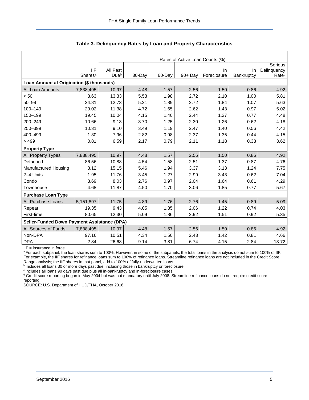|                                                    |                     |                  | Rates of Active Loan Counts (%)<br>Serious |        |            |             |            |                   |  |  |  |  |
|----------------------------------------------------|---------------------|------------------|--------------------------------------------|--------|------------|-------------|------------|-------------------|--|--|--|--|
|                                                    | <b>IIF</b>          | All Past         |                                            |        |            | In.         | <b>In</b>  | Delinquency       |  |  |  |  |
|                                                    | Shares <sup>a</sup> | Due <sup>b</sup> | 30-Day                                     | 60-Day | $90 + Day$ | Foreclosure | Bankruptcy | Rate <sup>c</sup> |  |  |  |  |
| Loan Amount at Origination (\$ thousands)          |                     |                  |                                            |        |            |             |            |                   |  |  |  |  |
| All Loan Amounts                                   | 7,838,495           | 10.97            | 4.48                                       | 1.57   | 2.56       | 1.50        | 0.86       | 4.92              |  |  |  |  |
| < 50                                               | 3.63                | 13.33            | 5.53                                       | 1.98   | 2.72       | 2.10        | 1.00       | 5.81              |  |  |  |  |
| $50 - 99$                                          | 24.81               | 12.73            | 5.21                                       | 1.89   | 2.72       | 1.84        | 1.07       | 5.63              |  |  |  |  |
| 100-149                                            | 29.02               | 11.38            | 4.72                                       | 1.65   | 2.62       | 1.43        | 0.97       | 5.02              |  |  |  |  |
| 150-199                                            | 19.45               | 10.04            | 4.15                                       | 1.40   | 2.44       | 1.27        | 0.77       | 4.48              |  |  |  |  |
| 200-249                                            | 10.66               | 9.13             | 3.70                                       | 1.25   | 2.30       | 1.26        | 0.62       | 4.18              |  |  |  |  |
| 250-399                                            | 10.31               | 9.10             | 3.49                                       | 1.19   | 2.47       | 1.40        | 0.56       | 4.42              |  |  |  |  |
| 400-499                                            | 1.30                | 7.96             | 2.82                                       | 0.98   | 2.37       | 1.35        | 0.44       | 4.15              |  |  |  |  |
| >499                                               | 0.81                | 6.59             | 2.17                                       | 0.79   | 2.11       | 1.18        | 0.33       | 3.62              |  |  |  |  |
| <b>Property Type</b>                               |                     |                  |                                            |        |            |             |            |                   |  |  |  |  |
| All Property Types                                 | 7,838,495           | 10.97            | 4.48                                       | 1.57   | 2.56       | 1.50        | 0.86       | 4.92              |  |  |  |  |
| Detached                                           | 86.56               | 10.88            | 4.54                                       | 1.58   | 2.51       | 1.37        | 0.87       | 4.76              |  |  |  |  |
| Manufactured Housing                               | 3.12                | 15.15            | 5.46                                       | 1.94   | 3.37       | 3.13        | 1.24       | 7.75              |  |  |  |  |
| 2-4 Units                                          | 1.95                | 11.76            | 3.45                                       | 1.27   | 2.99       | 3.43        | 0.62       | 7.04              |  |  |  |  |
| Condo                                              | 3.69                | 8.03             | 2.76                                       | 0.97   | 2.04       | 1.64        | 0.61       | 4.29              |  |  |  |  |
| Townhouse                                          | 4.68                | 11.87            | 4.50                                       | 1.70   | 3.06       | 1.85        | 0.77       | 5.67              |  |  |  |  |
| <b>Purchase Loan Type</b>                          |                     |                  |                                            |        |            |             |            |                   |  |  |  |  |
| All Purchase Loans                                 | 5,151,897           | 11.75            | 4.89                                       | 1.76   | 2.76       | 1.45        | 0.89       | 5.09              |  |  |  |  |
| Repeat                                             | 19.35               | 9.43             | 4.05                                       | 1.35   | 2.06       | 1.22        | 0.74       | 4.03              |  |  |  |  |
| First-time                                         | 80.65               | 12.30            | 5.09                                       | 1.86   | 2.92       | 1.51        | 0.92       | 5.35              |  |  |  |  |
| <b>Seller-Funded Down Payment Assistance (DPA)</b> |                     |                  |                                            |        |            |             |            |                   |  |  |  |  |
| All Sources of Funds                               | 7,838,495           | 10.97            | 4.48                                       | 1.57   | 2.56       | 1.50        | 0.86       | 4.92              |  |  |  |  |
| Non-DPA                                            | 97.16               | 10.51            | 4.34                                       | 1.50   | 2.43       | 1.42        | 0.81       | 4.66              |  |  |  |  |
| <b>DPA</b>                                         | 2.84                | 26.68            | 9.14                                       | 3.81   | 6.74       | 4.15        | 2.84       | 13.72             |  |  |  |  |

**Table 3. Delinquency Rates by Loan and Property Characteristics** 

IIF = insurance in force.

<sup>a</sup>For each subpanel, the loan shares sum to 100%. However, in some of the subpanels, the total loans in the analysis do not sum to 100% of IIF. For example, the IIF shares for refinance loans sum to 100% of refinance loans. Streamline refinance loans are not included in the Credit Score Range analysis; the IIF shares in that panel, add to 100% of fully-underwritten loans.

b Includes all loans 30 or more days past due, including those in bankruptcy or foreclosure.

<sup>c</sup> Includes all loans 90 days past due plus all in-bankruptcy and in-foreclosure cases.

<sup>d</sup> Credit score reporting began in May 2004 but was not mandatory until July 2008. Streamline refinance loans do not require credit score reporting.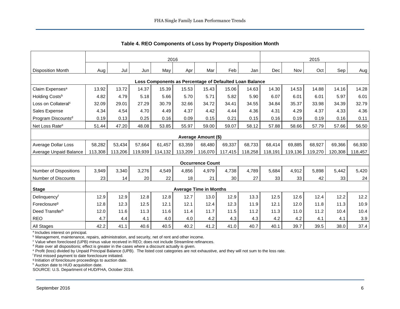<span id="page-6-0"></span>

|                                                         | 2016    |         |         |         |         |                               |         | 2015    |            |         |         |         |         |
|---------------------------------------------------------|---------|---------|---------|---------|---------|-------------------------------|---------|---------|------------|---------|---------|---------|---------|
| <b>Disposition Month</b>                                | Aug     | Jul     | Jun     | May     | Apr     | Mar                           | Feb     | Jan     | <b>Dec</b> | Nov     | Oct     | Sep     | Aug     |
| Loss Components as Percentage of Defaulted Loan Balance |         |         |         |         |         |                               |         |         |            |         |         |         |         |
| Claim Expenses <sup>a</sup>                             | 13.92   | 13.72   | 14.37   | 15.39   | 15.53   | 15.43                         | 15.06   | 14.63   | 14.30      | 14.53   | 14.88   | 14.16   | 14.28   |
| Holding Costsb                                          | 4.82    | 4.79    | 5.18    | 5.66    | 5.70    | 5.71                          | 5.82    | 5.90    | 6.07       | 6.01    | 6.01    | 5.97    | 6.01    |
| Loss on Collateral <sup>c</sup>                         | 32.09   | 29.01   | 27.29   | 30.79   | 32.66   | 34.72                         | 34.41   | 34.55   | 34.84      | 35.37   | 33.98   | 34.39   | 32.79   |
| Sales Expense                                           | 4.34    | 4.54    | 4.70    | 4.49    | 4.37    | 4.42                          | 4.44    | 4.36    | 4.31       | 4.29    | 4.37    | 4.33    | 4.36    |
| Program Discounts <sup>d</sup>                          | 0.19    | 0.13    | 0.25    | 0.16    | 0.09    | 0.15                          | 0.21    | 0.15    | 0.16       | 0.19    | 0.19    | 0.16    | 0.11    |
| Net Loss Rate <sup>e</sup>                              | 51.44   | 47.20   | 48.08   | 53.85   | 55.97   | 59.00                         | 59.07   | 58.12   | 57.88      | 58.66   | 57.79   | 57.66   | 56.50   |
| Average Amount (\$)                                     |         |         |         |         |         |                               |         |         |            |         |         |         |         |
| Average Dollar Loss                                     | 58,282  | 53,434  | 57,664  | 61,457  | 63,359  | 68,480                        | 69,337  | 68,733  | 68,414     | 69,885  | 68,927  | 69,366  | 66,930  |
| Average Unpaid Balance                                  | 113,308 | 113,206 | 119,939 | 114,132 | 113,209 | 116,070                       | 117,415 | 118,258 | 118,191    | 119,136 | 119,270 | 120,308 | 118,457 |
|                                                         |         |         |         |         |         | <b>Occurrence Count</b>       |         |         |            |         |         |         |         |
| <b>Number of Dispositions</b>                           | 3,949   | 3,340   | 3,276   | 4,549   | 4,856   | 4,979                         | 4,738   | 4,789   | 5,684      | 4,912   | 5,898   | 5,442   | 5,420   |
| <b>Number of Discounts</b>                              | 23      | 14      | 20      | 22      | 18      | 21                            | 30      | 27      | 33         | 33      | 42      | 33      | 24      |
| <b>Stage</b>                                            |         |         |         |         |         | <b>Average Time in Months</b> |         |         |            |         |         |         |         |
| Delinquencyf                                            | 12.9    | 12.9    | 12.8    | 12.8    | 12.7    | 13.0                          | 12.9    | 13.3    | 12.5       | 12.6    | 12.4    | 12.2    | 12.2    |
| Foreclosure <sup>g</sup>                                | 12.8    | 12.3    | 12.5    | 12.1    | 12.1    | 12.4                          | 12.3    | 11.9    | 12.1       | 12.0    | 11.8    | 11.3    | 10.9    |
| Deed Transferh                                          | 12.0    | 11.6    | 11.3    | 11.6    | 11.4    | 11.7                          | 11.5    | 11.2    | 11.3       | 11.0    | 11.2    | 10.4    | 10.4    |
| <b>REO</b>                                              | 4.7     | 4.4     | 4.1     | 4.0     | 4.0     | 4.2                           | 4.3     | 4.3     | 4.2        | 4.2     | 4.1     | 4.1     | 3.9     |
| All Stages                                              | 42.2    | 41.1    | 40.6    | 40.5    | 40.2    | 41.2                          | 41.0    | 40.7    | 40.1       | 39.7    | 39.5    | 38.0    | 37.4    |

<span id="page-6-1"></span>**Table 4. REO Components of Loss by Property Disposition Month** 

<sup>a</sup> Includes interest on principal.

<sup>b</sup> Management, maintenance, repairs, administration, and security, net of rent and other income.

c Value when foreclosed (UPB) minus value received in REO; does not include Streamline refinances.

<sup>d</sup> Rate over all dispositions; effect is greater in the cases where a discount actually is given.

e Profit (loss) divided by Unpaid Principal Balance (UPB). The listed cost categories are not exhaustive, and they will not sum to the loss rate.

f First missed payment to date foreclosure initiated.

g Initiation of foreclosure proceedings to auction date.

h Auction date to HUD acquisition date.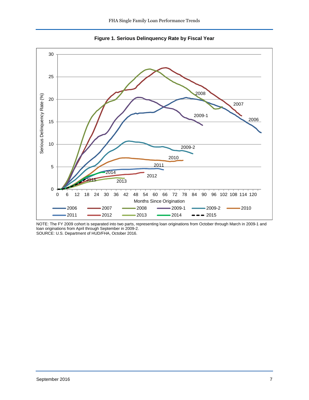<span id="page-7-0"></span>

<span id="page-7-1"></span>**Figure 1. Serious Delinquency Rate by Fiscal Year** 

NOTE: The FY 2009 cohort is separated into two parts, representing loan originations from October through March in 2009-1 and loan originations from April through September in 2009-2.